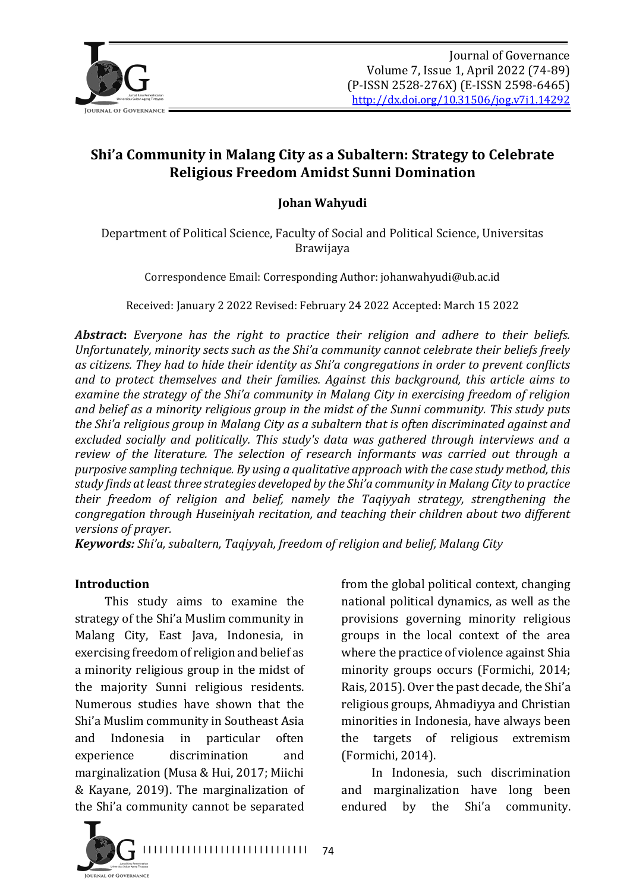

# **Shi'a Community in Malang City as a Subaltern: Strategy to Celebrate Religious Freedom Amidst Sunni Domination**

### **Johan Wahyudi**

Department of Political Science, Faculty of Social and Political Science, Universitas Brawijaya

Correspondence Email: Corresponding Author: johanwahyudi@ub.ac.id

Received: January 2 2022 Revised: February 24 2022 Accepted: March 15 2022

**Abstract:** Everyone has the right to practice their religion and adhere to their beliefs. Unfortunately, minority sects such as the Shi'a community cannot celebrate their beliefs freely as citizens. They had to hide their identity as Shi'a congregations in order to prevent conflicts and to protect themselves and their families. Against this background, this article aims to examine the strategy of the Shi'a community in Malang City in exercising freedom of religion and belief as a minority religious group in the midst of the Sunni community. This study puts *the Shi'a religious group in Malang City as a subaltern that is often discriminated against and* excluded socially and politically. This study's data was gathered through interviews and a *review* of the literature. The selection of research informants was carried out through a *purposive sampling technique. By using a qualitative approach with the case study method, this* study finds at least three strategies developed by the Shi'a community in Malang City to practice *their freedom of religion and belief, namely the Taqiyyah strategy, strengthening the congregation through Huseiniyah recitation, and teaching their children about two different versions of prayer.*

74

*Keywords: Shi'a, subaltern, Taqiyyah, freedom of religion and belief, Malang City* 

#### **Introduction**

This study aims to examine the strategy of the Shi'a Muslim community in Malang City, East Java, Indonesia, in exercising freedom of religion and belief as a minority religious group in the midst of the majority Sunni religious residents. Numerous studies have shown that the Shi'a Muslim community in Southeast Asia and Indonesia in particular often experience discrimination and marginalization (Musa & Hui, 2017; Miichi & Kayane, 2019). The marginalization of the Shi'a community cannot be separated

from the global political context, changing national political dynamics, as well as the provisions governing minority religious groups in the local context of the area where the practice of violence against Shia minority groups occurs (Formichi, 2014; Rais, 2015). Over the past decade, the Shi'a religious groups, Ahmadiyya and Christian minorities in Indonesia, have always been the targets of religious extremism (Formichi, 2014).

In Indonesia, such discrimination and marginalization have long been endured by the Shi'a community.

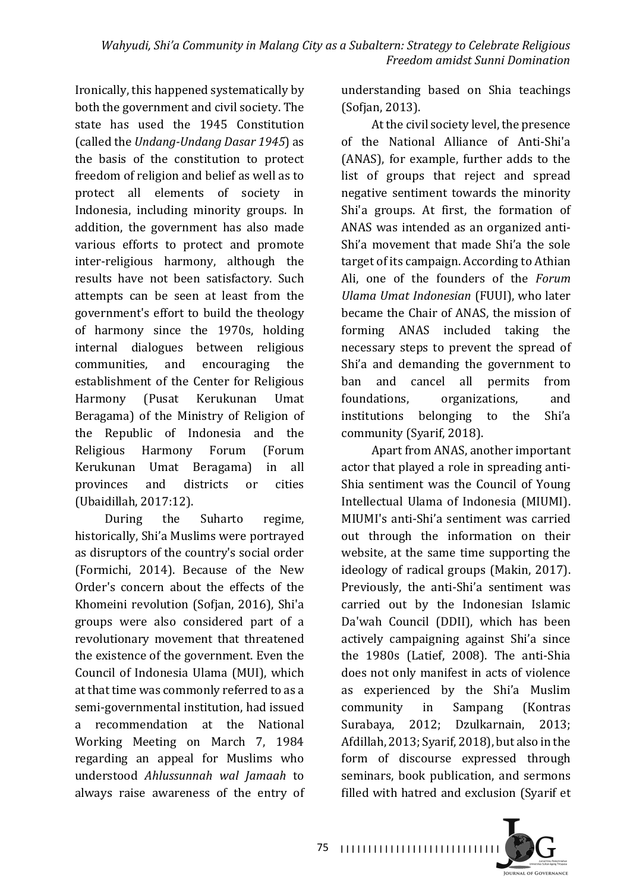Ironically, this happened systematically by both the government and civil society. The state has used the 1945 Constitution (called the *Undang-Undang Dasar* 1945) as the basis of the constitution to protect freedom of religion and belief as well as to protect all elements of society in Indonesia, including minority groups. In addition, the government has also made various efforts to protect and promote inter-religious harmony, although the results have not been satisfactory. Such attempts can be seen at least from the government's effort to build the theology of harmony since the 1970s, holding internal dialogues between religious communities, and encouraging the establishment of the Center for Religious Harmony (Pusat Kerukunan Umat Beragama) of the Ministry of Religion of the Republic of Indonesia and the Religious Harmony Forum (Forum Kerukunan Umat Beragama) in all provinces and districts or cities (Ubaidillah, 2017:12).

During the Suharto regime, historically, Shi'a Muslims were portrayed as disruptors of the country's social order (Formichi, 2014). Because of the New Order's concern about the effects of the Khomeini revolution (Sofjan, 2016), Shi'a groups were also considered part of a revolutionary movement that threatened the existence of the government. Even the Council of Indonesia Ulama (MUI), which at that time was commonly referred to as a semi-governmental institution, had issued a recommendation at the National Working Meeting on March 7, 1984 regarding an appeal for Muslims who understood *Ahlussunnah wal Jamaah*  to always raise awareness of the entry of understanding based on Shia teachings (Sofjan, 2013).

At the civil society level, the presence of the National Alliance of Anti-Shi'a (ANAS), for example, further adds to the list of groups that reject and spread negative sentiment towards the minority Shi'a groups. At first, the formation of ANAS was intended as an organized anti-Shi'a movement that made Shi'a the sole target of its campaign. According to Athian Ali, one of the founders of the *Forum Ulama Umat Indonesian* (FUUI), who later became the Chair of ANAS, the mission of forming ANAS included taking the necessary steps to prevent the spread of Shi'a and demanding the government to ban and cancel all permits from foundations, organizations, and institutions belonging to the Shi'a community (Syarif, 2018).

Apart from ANAS, another important actor that played a role in spreading anti-Shia sentiment was the Council of Young Intellectual Ulama of Indonesia (MIUMI). MIIIMI's anti-Shi'a sentiment was carried out through the information on their website, at the same time supporting the ideology of radical groups (Makin, 2017). Previously, the anti-Shi'a sentiment was carried out by the Indonesian Islamic Da'wah Council (DDII), which has been actively campaigning against Shi'a since the 1980s (Latief, 2008). The anti-Shia does not only manifest in acts of violence as experienced by the Shi'a Muslim community in Sampang (Kontras Surabaya, 2012; Dzulkarnain, 2013; Afdillah, 2013; Syarif, 2018), but also in the form of discourse expressed through seminars, book publication, and sermons filled with hatred and exclusion (Syarif et

**IQUENAL OF GOVERNANCE** 

75 | 1111111111111111111111111111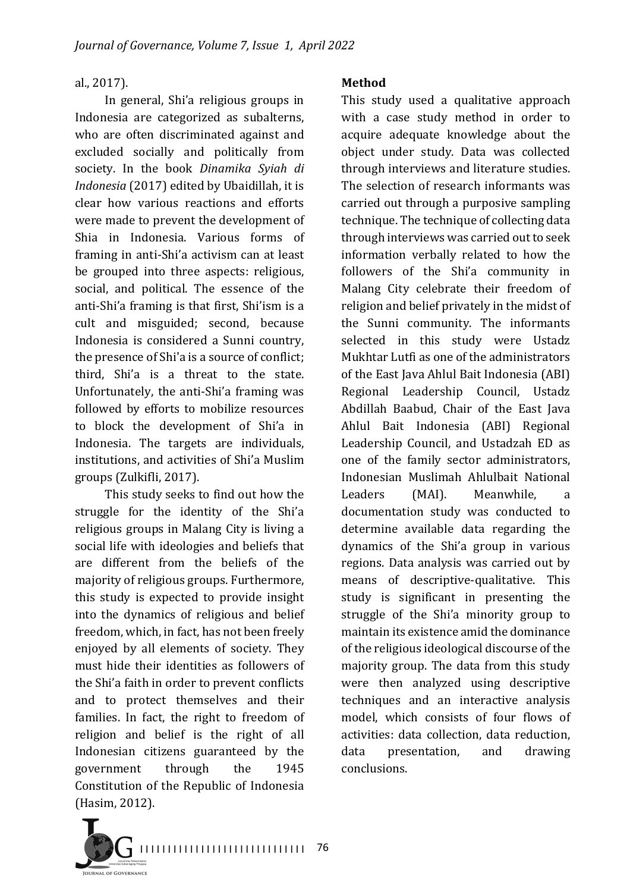#### al., 2017).

In general, Shi'a religious groups in Indonesia are categorized as subalterns, who are often discriminated against and excluded socially and politically from society. In the book *Dinamika Syiah di Indonesia* (2017) edited by Ubaidillah, it is clear how various reactions and efforts were made to prevent the development of Shia in Indonesia. Various forms of framing in anti-Shi'a activism can at least be grouped into three aspects: religious, social, and political. The essence of the anti-Shi'a framing is that first, Shi'ism is a cult and misguided; second, because Indonesia is considered a Sunni country, the presence of Shi'a is a source of conflict; third, Shi'a is a threat to the state. Unfortunately, the anti-Shi'a framing was followed by efforts to mobilize resources to block the development of Shi'a in Indonesia. The targets are individuals, institutions, and activities of Shi'a Muslim groups (Zulkifli, 2017).

This study seeks to find out how the struggle for the identity of the Shi'a religious groups in Malang City is living a social life with ideologies and beliefs that are different from the beliefs of the majority of religious groups. Furthermore, this study is expected to provide insight into the dynamics of religious and belief freedom, which, in fact, has not been freely enjoyed by all elements of society. They must hide their identities as followers of the Shi'a faith in order to prevent conflicts and to protect themselves and their families. In fact, the right to freedom of religion and belief is the right of all Indonesian citizens guaranteed by the government through the 1945 Constitution of the Republic of Indonesia (Hasim, 2012).

#### **Method**

This study used a qualitative approach with a case study method in order to acquire adequate knowledge about the object under study. Data was collected through interviews and literature studies. The selection of research informants was carried out through a purposive sampling technique. The technique of collecting data through interviews was carried out to seek information verbally related to how the followers of the Shi'a community in Malang City celebrate their freedom of religion and belief privately in the midst of the Sunni community. The informants selected in this study were Ustadz Mukhtar Lutfi as one of the administrators of the East Java Ahlul Bait Indonesia (ABI) Regional Leadership Council, Ustadz Abdillah Baabud, Chair of the East Java Ahlul Bait Indonesia (ABI) Regional Leadership Council, and Ustadzah ED as one of the family sector administrators, Indonesian Muslimah Ahlulbait National Leaders (MAI). Meanwhile, a documentation study was conducted to determine available data regarding the dynamics of the Shi'a group in various regions. Data analysis was carried out by means of descriptive-qualitative. This study is significant in presenting the struggle of the Shi'a minority group to maintain its existence amid the dominance of the religious ideological discourse of the majority group. The data from this study were then analyzed using descriptive techniques and an interactive analysis model, which consists of four flows of activities: data collection, data reduction, data presentation, and drawing conclusions.

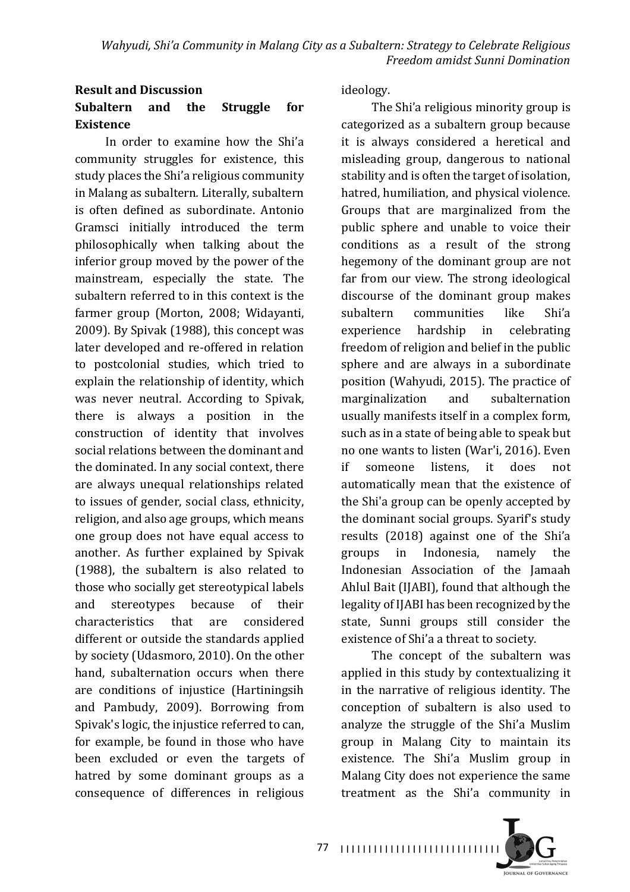### **Result and Discussion** Subaltern and the Struggle for **Existence**

In order to examine how the Shi'a community struggles for existence, this study places the Shi'a religious community in Malang as subaltern*.* Literally, subaltern is often defined as subordinate. Antonio Gramsci initially introduced the term philosophically when talking about the inferior group moved by the power of the mainstream, especially the state. The subaltern referred to in this context is the farmer group (Morton, 2008; Widayanti, 2009). By Spivak (1988), this concept was later developed and re-offered in relation to postcolonial studies, which tried to explain the relationship of identity, which was never neutral. According to Spivak, there is always a position in the construction of identity that involves social relations between the dominant and the dominated. In any social context, there are always unequal relationships related to issues of gender, social class, ethnicity, religion, and also age groups, which means one group does not have equal access to another. As further explained by Spivak  $(1988)$ , the subaltern is also related to those who socially get stereotypical labels and stereotypes because of their characteristics that are considered different or outside the standards applied by society (Udasmoro, 2010). On the other hand, subalternation occurs when there are conditions of injustice (Hartiningsih and Pambudy, 2009). Borrowing from Spivak's logic, the injustice referred to can. for example, be found in those who have been excluded or even the targets of hatred by some dominant groups as a consequence of differences in religious 

ideology.

The Shi'a religious minority group is categorized as a subaltern group because it is always considered a heretical and misleading group, dangerous to national stability and is often the target of isolation, hatred, humiliation, and physical violence. Groups that are marginalized from the public sphere and unable to voice their conditions as a result of the strong hegemony of the dominant group are not far from our view. The strong ideological discourse of the dominant group makes subaltern communities like Shi'a experience hardship in celebrating freedom of religion and belief in the public sphere and are always in a subordinate position (Wahyudi, 2015). The practice of marginalization and subalternation usually manifests itself in a complex form, such as in a state of being able to speak but no one wants to listen (War'i, 2016). Even if someone listens, it does not automatically mean that the existence of the Shi'a group can be openly accepted by the dominant social groups. Syarif's study results (2018) against one of the Shi'a groups in Indonesia, namely the Indonesian Association of the Jamaah Ahlul Bait (IJABI), found that although the legality of IJABI has been recognized by the state, Sunni groups still consider the existence of Shi'a a threat to society.

The concept of the subaltern was applied in this study by contextualizing it in the narrative of religious identity. The conception of subaltern is also used to analyze the struggle of the Shi'a Muslim group in Malang City to maintain its existence. The Shi'a Muslim group in Malang City does not experience the same treatment as the Shi'a community in

I I I I I I I I I I I I I I I I I I I I I I I I I I I I I 77

**IQUENAL OF GOVERNANCE**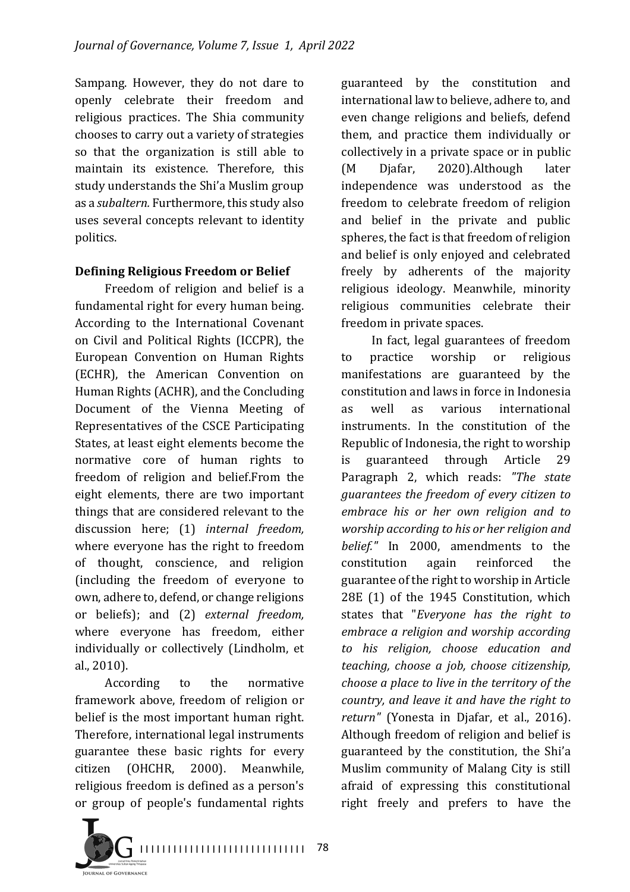Sampang. However, they do not dare to openly celebrate their freedom and religious practices. The Shia community chooses to carry out a variety of strategies so that the organization is still able to maintain its existence. Therefore, this study understands the Shi'a Muslim group as a *subaltern*. Furthermore, this study also uses several concepts relevant to identity politics.

### **Defining Religious Freedom or Belief**

Freedom of religion and belief is a fundamental right for every human being. According to the International Covenant on Civil and Political Rights (ICCPR), the European Convention on Human Rights (ECHR), the American Convention on Human Rights (ACHR), and the Concluding Document of the Vienna Meeting of Representatives of the CSCE Participating States, at least eight elements become the normative core of human rights to freedom of religion and belief.From the eight elements, there are two important things that are considered relevant to the discussion here; (1) *internal freedom*, where everyone has the right to freedom of thought, conscience, and religion (including the freedom of everyone to own, adhere to, defend, or change religions or beliefs); and (2) *external freedom*, where everyone has freedom, either individually or collectively (Lindholm, et al., 2010).

According to the normative framework above, freedom of religion or belief is the most important human right. Therefore, international legal instruments guarantee these basic rights for every citizen (OHCHR, 2000). Meanwhile, religious freedom is defined as a person's or group of people's fundamental rights

guaranteed by the constitution and international law to believe, adhere to, and even change religions and beliefs, defend them, and practice them individually or collectively in a private space or in public (M Djafar, 2020).Although later independence was understood as the freedom to celebrate freedom of religion and belief in the private and public spheres, the fact is that freedom of religion and belief is only enjoyed and celebrated freely by adherents of the majority religious ideology. Meanwhile, minority religious communities celebrate their freedom in private spaces.

In fact, legal guarantees of freedom to practice worship or religious manifestations are guaranteed by the constitution and laws in force in Indonesia as well as various international instruments. In the constitution of the Republic of Indonesia, the right to worship is guaranteed through Article 29 Paragraph 2, which reads: "The state *guarantees the freedom of every citizen to embrace his or her own religion and to worship according to his or her religion and belief.*" In 2000, amendments to the constitution again reinforced the guarantee of the right to worship in Article 28E (1) of the 1945 Constitution, which states that "*Everyone has the right to embrace a religion and worship according to his religion, choose education and teaching, choose a job, choose citizenship, choose a place to live in the territory of the country, and leave it and have the right to* return" (Yonesta in Djafar, et al., 2016). Although freedom of religion and belief is guaranteed by the constitution, the Shi'a Muslim community of Malang City is still afraid of expressing this constitutional right freely and prefers to have the

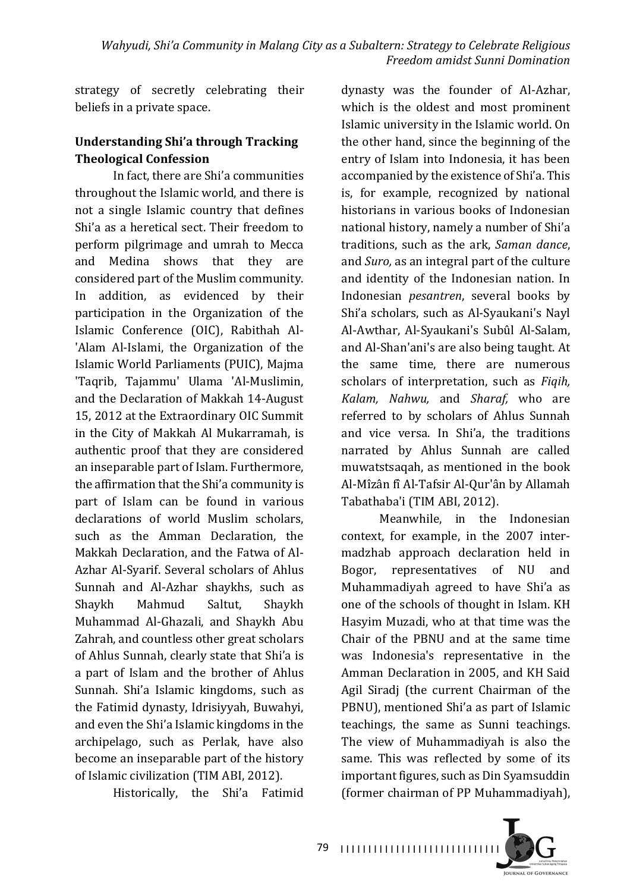strategy of secretly celebrating their beliefs in a private space.

### **Understanding Shi'a through Tracking Theological Confession**

In fact, there are Shi'a communities throughout the Islamic world, and there is not a single Islamic country that defines Shi'a as a heretical sect. Their freedom to perform pilgrimage and umrah to Mecca and Medina shows that they are considered part of the Muslim community. In addition, as evidenced by their participation in the Organization of the Islamic Conference (OIC), Rabithah Al-'Alam Al-Islami, the Organization of the Islamic World Parliaments (PUIC), Majma 'Taqrib, Tajammu' Ulama 'Al-Muslimin, and the Declaration of Makkah 14-August 15, 2012 at the Extraordinary OIC Summit in the City of Makkah Al Mukarramah, is authentic proof that they are considered an inseparable part of Islam. Furthermore, the affirmation that the Shi'a community is part of Islam can be found in various declarations of world Muslim scholars, such as the Amman Declaration, the Makkah Declaration, and the Fatwa of Al-Azhar Al-Syarif. Several scholars of Ahlus Sunnah and Al-Azhar shaykhs, such as Shaykh Mahmud Saltut, Shaykh Muhammad Al-Ghazali, and Shaykh Abu Zahrah, and countless other great scholars of Ahlus Sunnah, clearly state that Shi'a is a part of Islam and the brother of Ahlus Sunnah. Shi'a Islamic kingdoms, such as the Fatimid dynasty, Idrisiyyah, Buwahyi, and even the Shi'a Islamic kingdoms in the archipelago, such as Perlak, have also become an inseparable part of the history of Islamic civilization (TIM ABI, 2012).

Historically, the Shi'a Fatimid

dynasty was the founder of Al-Azhar, which is the oldest and most prominent Islamic university in the Islamic world. On the other hand, since the beginning of the entry of Islam into Indonesia, it has been accompanied by the existence of Shi'a. This is, for example, recognized by national historians in various books of Indonesian national history, namely a number of Shi'a traditions, such as the ark, Saman dance, and *Suro*, as an integral part of the culture and identity of the Indonesian nation. In Indonesian *pesantren*, several books by Shi'a scholars, such as Al-Syaukani's Nayl Al-Awthar, Al-Syaukani's Subûl Al-Salam, and Al-Shan'ani's are also being taught. At the same time, there are numerous scholars of interpretation, such as *Fiqih*, *Kalam, Nahwu,*  and *Sharaf,* who are referred to by scholars of Ahlus Sunnah and vice versa. In Shi'a, the traditions narrated by Ahlus Sunnah are called muwatstsaqah, as mentioned in the book Al-Mîzân fî Al-Tafsir Al-Qur'ân by Allamah Tabathaba'i (TIM ABI, 2012).

Meanwhile, in the Indonesian context, for example, in the 2007 intermadzhab approach declaration held in Bogor, representatives of NU and Muhammadiyah agreed to have Shi'a as one of the schools of thought in Islam. KH Hasyim Muzadi, who at that time was the Chair of the PBNU and at the same time was Indonesia's representative in the Amman Declaration in 2005, and KH Said Agil Siradi (the current Chairman of the PBNU), mentioned Shi'a as part of Islamic teachings, the same as Sunni teachings. The view of Muhammadiyah is also the same. This was reflected by some of its important figures, such as Din Syamsuddin (former chairman of PP Muhammadiyah),

**JOURNAL OF GOVERNANCE**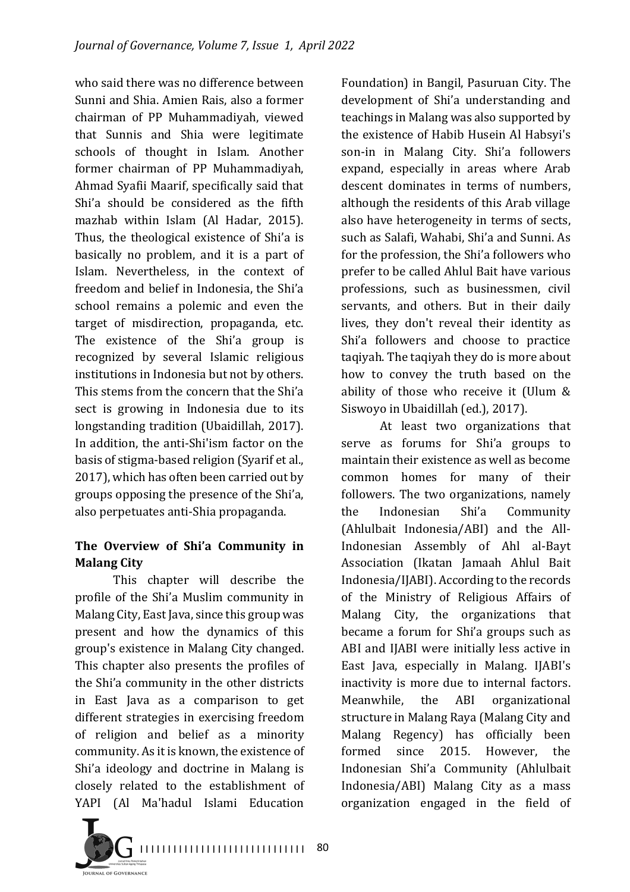who said there was no difference between Sunni and Shia. Amien Rais, also a former chairman of PP Muhammadiyah, viewed that Sunnis and Shia were legitimate schools of thought in Islam. Another former chairman of PP Muhammadiyah, Ahmad Syafii Maarif, specifically said that Shi'a should be considered as the fifth mazhab within Islam (Al Hadar, 2015). Thus, the theological existence of Shi'a is basically no problem, and it is a part of Islam. Nevertheless, in the context of freedom and belief in Indonesia, the Shi'a school remains a polemic and even the target of misdirection, propaganda, etc. The existence of the Shi'a group is recognized by several Islamic religious institutions in Indonesia but not by others. This stems from the concern that the Shi'a sect is growing in Indonesia due to its longstanding tradition (Ubaidillah, 2017). In addition, the anti-Shi'ism factor on the basis of stigma-based religion (Syarif et al., 2017), which has often been carried out by groups opposing the presence of the Shi'a, also perpetuates anti-Shia propaganda.

### The Overview of Shi'a Community in **Malang City**

This chapter will describe the profile of the Shi'a Muslim community in Malang City, East Java, since this group was present and how the dynamics of this group's existence in Malang City changed. This chapter also presents the profiles of the Shi'a community in the other districts in East Java as a comparison to get different strategies in exercising freedom of religion and belief as a minority community. As it is known, the existence of Shi'a ideology and doctrine in Malang is closely related to the establishment of YAPI (Al Ma'hadul Islami Education

Foundation) in Bangil, Pasuruan City. The development of Shi'a understanding and teachings in Malang was also supported by the existence of Habib Husein Al Habsyi's son-in in Malang City. Shi'a followers expand, especially in areas where Arab descent dominates in terms of numbers, although the residents of this Arab village also have heterogeneity in terms of sects, such as Salafi, Wahabi, Shi'a and Sunni. As for the profession, the Shi'a followers who prefer to be called Ahlul Bait have various professions, such as businessmen, civil servants, and others. But in their daily lives, they don't reveal their identity as Shi'a followers and choose to practice taqiyah. The taqiyah they do is more about how to convey the truth based on the ability of those who receive it (Ulum  $&$ Siswoyo in Ubaidillah (ed.), 2017).

At least two organizations that serve as forums for Shi'a groups to maintain their existence as well as become common homes for many of their followers. The two organizations, namely the Indonesian Shi'a Community (Ahlulbait Indonesia/ABI) and the All-Indonesian Assembly of Ahl al-Bayt Association (Ikatan Jamaah Ahlul Bait Indonesia/IJABI). According to the records of the Ministry of Religious Affairs of Malang City, the organizations that became a forum for Shi'a groups such as ABI and IJABI were initially less active in East Java, especially in Malang. IJABI's inactivity is more due to internal factors. Meanwhile, the ABI organizational structure in Malang Raya (Malang City and Malang Regency) has officially been formed since 2015. However, the Indonesian Shi'a Community (Ahlulbait Indonesia/ABI) Malang City as a mass organization engaged in the field of 

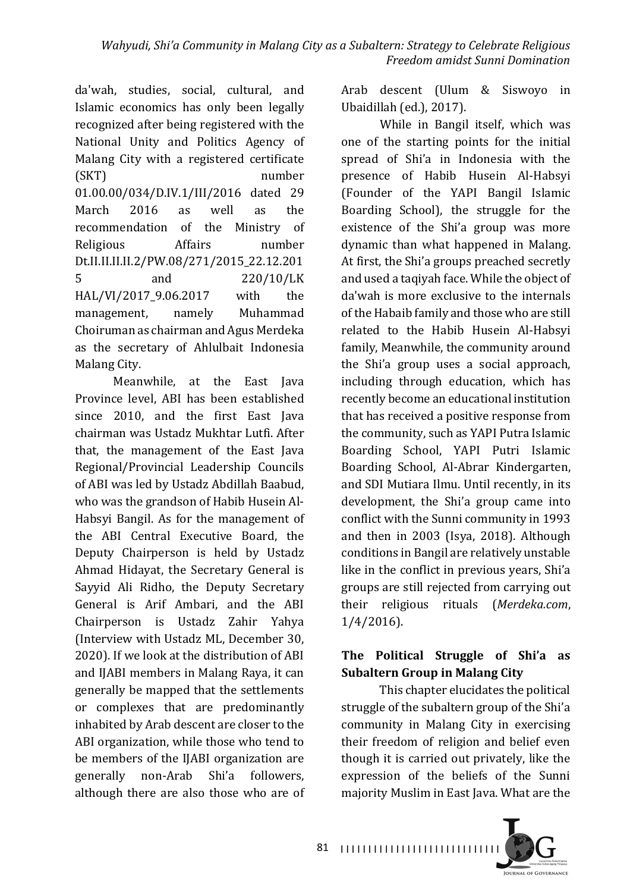da'wah, studies, social, cultural, and Islamic economics has only been legally recognized after being registered with the National Unity and Politics Agency of Malang City with a registered certificate (SKT) number 01.00.00/034/D.IV.1/III/2016 dated 29 March 2016 as well as the recommendation of the Ministry of Religious Affairs number Dt.II.II.II.II.2/PW.08/271/2015\_22.12.201 5 and 220/10/LK HAL/VI/2017 9.06.2017 with the management, namely Muhammad Choiruman as chairman and Agus Merdeka as the secretary of Ahlulbait Indonesia Malang City.

Meanwhile, at the East Java Province level, ABI has been established since 2010, and the first East Java chairman was Ustadz Mukhtar Lutfi. After that, the management of the East Java Regional/Provincial Leadership Councils of ABI was led by Ustadz Abdillah Baabud, who was the grandson of Habib Husein Al-Habsyi Bangil. As for the management of the ABI Central Executive Board, the Deputy Chairperson is held by Ustadz Ahmad Hidayat, the Secretary General is Sayyid Ali Ridho, the Deputy Secretary General is Arif Ambari, and the ABI Chairperson is Ustadz Zahir Yahya (Interview with Ustadz ML, December 30, 2020). If we look at the distribution of ABI and IJABI members in Malang Raya, it can generally be mapped that the settlements or complexes that are predominantly inhabited by Arab descent are closer to the ABI organization, while those who tend to be members of the IJABI organization are generally non-Arab Shi'a followers, although there are also those who are of Arab descent (Ulum & Siswoyo in Ubaidillah (ed.), 2017).

While in Bangil itself, which was one of the starting points for the initial spread of Shi'a in Indonesia with the presence of Habib Husein Al-Habsyi (Founder of the YAPI Bangil Islamic Boarding School), the struggle for the existence of the Shi'a group was more dynamic than what happened in Malang. At first, the Shi'a groups preached secretly and used a taqiyah face. While the object of da'wah is more exclusive to the internals of the Habaib family and those who are still related to the Habib Husein Al-Habsyi family, Meanwhile, the community around the Shi'a group uses a social approach, including through education, which has recently become an educational institution that has received a positive response from the community, such as YAPI Putra Islamic Boarding School, YAPI Putri Islamic Boarding School, Al-Abrar Kindergarten, and SDI Mutiara Ilmu. Until recently, in its development, the Shi'a group came into conflict with the Sunni community in 1993 and then in 2003 (Isya, 2018). Although conditions in Bangil are relatively unstable like in the conflict in previous years, Shi'a groups are still rejected from carrying out their religious rituals (*Merdeka.com*, 1/4/2016).

## The Political Struggle of Shi'a as **Subaltern Group in Malang City**

This chapter elucidates the political struggle of the subaltern group of the Shi'a community in Malang City in exercising their freedom of religion and belief even though it is carried out privately, like the expression of the beliefs of the Sunni majority Muslim in East Java. What are the



81 |||||||||||||||||||||||||||||||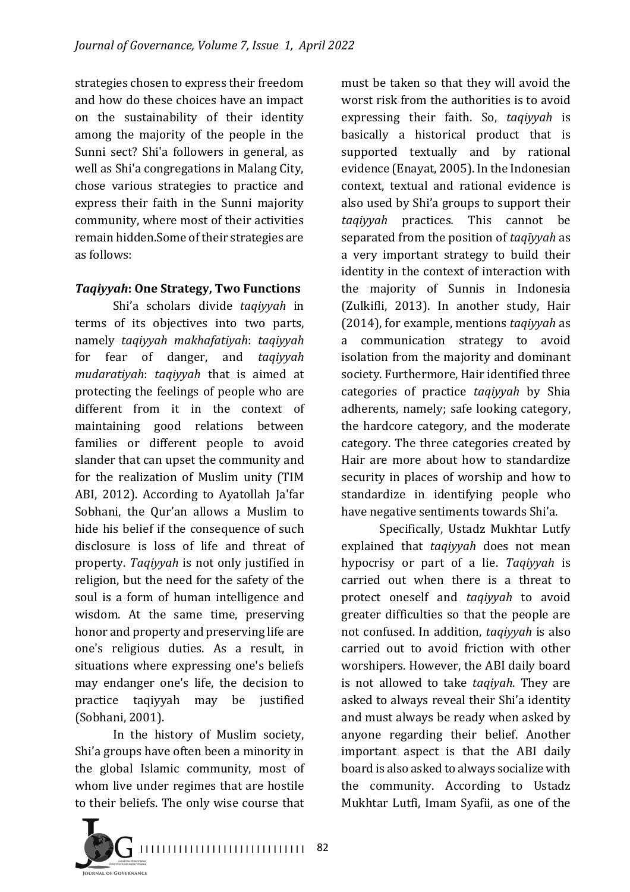strategies chosen to express their freedom and how do these choices have an impact on the sustainability of their identity among the majority of the people in the Sunni sect? Shi'a followers in general, as well as Shi'a congregations in Malang City, chose various strategies to practice and express their faith in the Sunni majority community, where most of their activities remain hidden.Some of their strategies are as follows:

#### **Taqiyyah: One Strategy, Two Functions**

Shi'a scholars divide *taqiyyah* in terms of its objectives into two parts, namely *taqiyyah makhafatiyah*: *taqiyyah*  for fear of danger, and *taqiyyah mudaratiyah: taqiyyah* that is aimed at protecting the feelings of people who are different from it in the context of maintaining good relations between families or different people to avoid slander that can upset the community and for the realization of Muslim unity (TIM ABI, 2012). According to Ayatollah Ja'far Sobhani, the Qur'an allows a Muslim to hide his belief if the consequence of such disclosure is loss of life and threat of property. *Taqiyyah* is not only justified in religion, but the need for the safety of the soul is a form of human intelligence and wisdom. At the same time, preserving honor and property and preserving life are one's religious duties. As a result, in situations where expressing one's beliefs may endanger one's life, the decision to practice taqiyyah may be justified (Sobhani, 2001).

In the history of Muslim society, Shi'a groups have often been a minority in the global Islamic community, most of whom live under regimes that are hostile to their beliefs. The only wise course that



must be taken so that they will avoid the worst risk from the authorities is to avoid expressing their faith. So, taqiyyah is basically a historical product that is supported textually and by rational evidence (Enayat, 2005). In the Indonesian context, textual and rational evidence is also used by Shi'a groups to support their *taqiyyah*  practices*.*  This cannot be separated from the position of *taqīyyah* as a very important strategy to build their identity in the context of interaction with the majority of Sunnis in Indonesia (Zulkifli, 2013). In another study, Hair (2014), for example, mentions *taqiyyah* as a communication strategy to avoid isolation from the majority and dominant society. Furthermore, Hair identified three categories of practice *taqiyyah* by Shia adherents, namely; safe looking category, the hardcore category, and the moderate category. The three categories created by Hair are more about how to standardize security in places of worship and how to standardize in identifying people who have negative sentiments towards Shi'a.

Specifically, Ustadz Mukhtar Lutfy explained that *taqiyyah* does not mean hypocrisy or part of a lie. *Taqiyyah*  is carried out when there is a threat to protect oneself and *taqiyyah*  to avoid greater difficulties so that the people are not confused. In addition, *taqiyyah* is also carried out to avoid friction with other worshipers. However, the ABI daily board is not allowed to take *taqiyah*. They are asked to always reveal their Shi'a identity and must always be ready when asked by anyone regarding their belief. Another important aspect is that the ABI daily board is also asked to always socialize with the community. According to Ustadz Mukhtar Lutfi, Imam Syafii, as one of the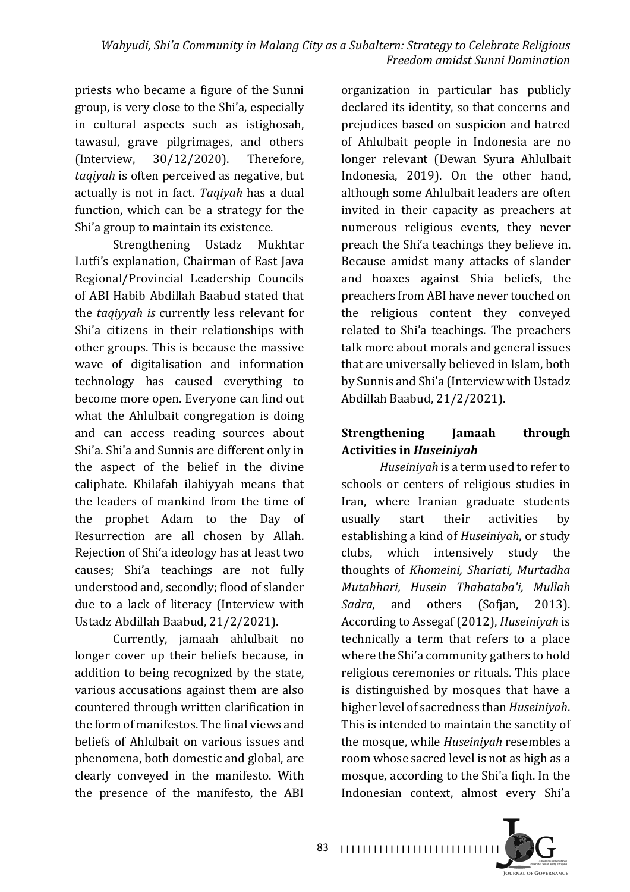priests who became a figure of the Sunni group, is very close to the Shi'a, especially in cultural aspects such as istighosah, tawasul, grave pilgrimages, and others (Interview,  $30/12/2020$ ). Therefore, taqiyah is often perceived as negative, but actually is not in fact. *Taqiyah* has a dual function, which can be a strategy for the Shi'a group to maintain its existence.

Strengthening Ustadz Mukhtar Lutfi's explanation, Chairman of East Java Regional/Provincial Leadership Councils of ABI Habib Abdillah Baabud stated that the *taqiyyah* is currently less relevant for Shi'a citizens in their relationships with other groups. This is because the massive wave of digitalisation and information technology has caused everything to become more open. Everyone can find out what the Ahlulbait congregation is doing and can access reading sources about Shi'a. Shi'a and Sunnis are different only in the aspect of the belief in the divine caliphate. Khilafah ilahiyyah means that the leaders of mankind from the time of the prophet Adam to the Day of Resurrection are all chosen by Allah. Rejection of Shi'a ideology has at least two causes; Shi'a teachings are not fully understood and, secondly; flood of slander due to a lack of literacy (Interview with Ustadz Abdillah Baabud, 21/2/2021).

Currently, jamaah ahlulbait no longer cover up their beliefs because, in addition to being recognized by the state, various accusations against them are also countered through written clarification in the form of manifestos. The final views and beliefs of Ahlulbait on various issues and phenomena, both domestic and global, are clearly conveyed in the manifesto. With the presence of the manifesto, the ABI

organization in particular has publicly declared its identity, so that concerns and prejudices based on suspicion and hatred of Ahlulbait people in Indonesia are no longer relevant (Dewan Syura Ahlulbait Indonesia, 2019). On the other hand, although some Ahlulbait leaders are often invited in their capacity as preachers at numerous religious events, they never preach the Shi'a teachings they believe in. Because amidst many attacks of slander and hoaxes against Shia beliefs, the preachers from ABI have never touched on the religious content they conveyed related to Shi'a teachings. The preachers talk more about morals and general issues that are universally believed in Islam, both by Sunnis and Shi'a (Interview with Ustadz Abdillah Baabud, 21/2/2021).

## **Strengthening Jamaah through Activities in Huseiniyah**

*Huseiniyah* is a term used to refer to schools or centers of religious studies in Iran, where Iranian graduate students usually start their activities by establishing a kind of *Huseiniyah*, or study clubs, which intensively study the thoughts of *Khomeini, Shariati, Murtadha Mutahhari, Husein Thabataba'i, Mullah*  Sadra, and others (Sofian, 2013). According to Assegaf (2012), *Huseiniyah* is technically a term that refers to a place where the Shi'a community gathers to hold religious ceremonies or rituals. This place is distinguished by mosques that have a higher level of sacredness than *Huseiniyah*. This is intended to maintain the sanctity of the mosque, while *Huseiniyah* resembles a room whose sacred level is not as high as a mosque, according to the Shi'a fiqh. In the Indonesian context, almost every Shi'a

**IQUENAL OF GOVERNANCE**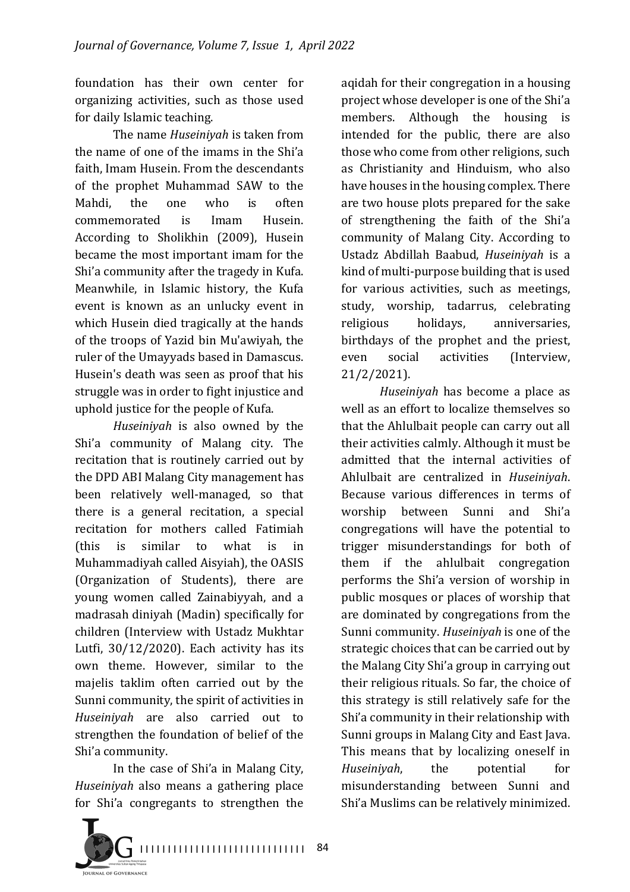foundation has their own center for organizing activities, such as those used for daily Islamic teaching.

The name *Huseinivah* is taken from the name of one of the imams in the Shi'a faith, Imam Husein. From the descendants of the prophet Muhammad SAW to the Mahdi, the one who is often commemorated is Imam Husein. According to Sholikhin (2009), Husein became the most important imam for the Shi'a community after the tragedy in Kufa. Meanwhile, in Islamic history, the Kufa event is known as an unlucky event in which Husein died tragically at the hands of the troops of Yazid bin Mu'awiyah, the ruler of the Umayyads based in Damascus. Husein's death was seen as proof that his struggle was in order to fight injustice and uphold justice for the people of Kufa.

*Huseiniyah* is also owned by the Shi'a community of Malang city. The recitation that is routinely carried out by the DPD ABI Malang City management has been relatively well-managed, so that there is a general recitation, a special recitation for mothers called Fatimiah (this is similar to what is in Muhammadiyah called Aisyiah), the OASIS (Organization of Students), there are young women called Zainabiyyah, and a madrasah diniyah (Madin) specifically for children (Interview with Ustadz Mukhtar Lutfi,  $30/12/2020$ ). Each activity has its own theme. However, similar to the majelis taklim often carried out by the Sunni community, the spirit of activities in *Huseiniyah* are also carried out to strengthen the foundation of belief of the Shi'a community.

In the case of Shi'a in Malang City, *Huseiniyah* also means a gathering place for Shi'a congregants to strengthen the



aqidah for their congregation in a housing project whose developer is one of the Shi'a members. Although the housing is intended for the public, there are also those who come from other religions, such as Christianity and Hinduism, who also have houses in the housing complex. There are two house plots prepared for the sake of strengthening the faith of the Shi'a community of Malang City. According to Ustadz Abdillah Baabud, *Huseiniyah* is a kind of multi-purpose building that is used for various activities, such as meetings, study, worship, tadarrus, celebrating religious holidays, anniversaries, birthdays of the prophet and the priest, even social activities (Interview, 21/2/2021).

*Huseinivah* has become a place as well as an effort to localize themselves so that the Ahlulbait people can carry out all their activities calmly. Although it must be admitted that the internal activities of Ahlulbait are centralized in *Huseiniyah*. Because various differences in terms of worship between Sunni and Shi'a congregations will have the potential to trigger misunderstandings for both of them if the ahlulbait congregation performs the Shi'a version of worship in public mosques or places of worship that are dominated by congregations from the Sunni community. *Huseiniyah* is one of the strategic choices that can be carried out by the Malang City Shi'a group in carrying out their religious rituals. So far, the choice of this strategy is still relatively safe for the Shi'a community in their relationship with Sunni groups in Malang City and East Java. This means that by localizing oneself in *Huseiniyah*, the potential for misunderstanding between Sunni and Shi'a Muslims can be relatively minimized.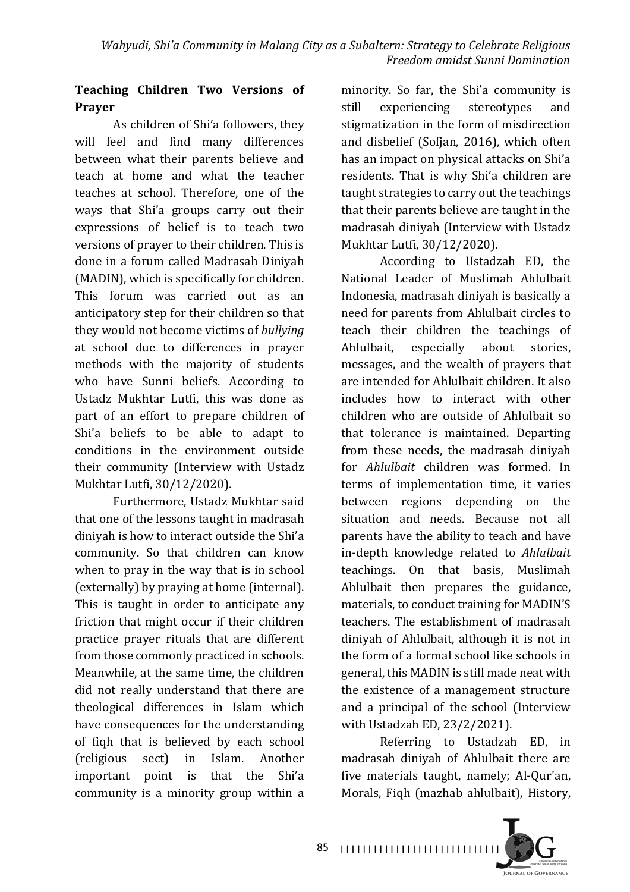## Teaching Children Two Versions of **Prayer**

As children of Shi'a followers, they will feel and find many differences between what their parents believe and teach at home and what the teacher teaches at school. Therefore, one of the ways that Shi'a groups carry out their expressions of belief is to teach two versions of prayer to their children. This is done in a forum called Madrasah Diniyah (MADIN), which is specifically for children. This forum was carried out as an anticipatory step for their children so that they would not become victims of *bullying* at school due to differences in prayer methods with the majority of students who have Sunni beliefs. According to Ustadz Mukhtar Lutfi, this was done as part of an effort to prepare children of Shi'a beliefs to be able to adapt to conditions in the environment outside their community (Interview with Ustadz Mukhtar Lutfi, 30/12/2020).

Furthermore, Ustadz Mukhtar said that one of the lessons taught in madrasah diniyah is how to interact outside the Shi'a community. So that children can know when to pray in the way that is in school (externally) by praying at home (internal). This is taught in order to anticipate any friction that might occur if their children practice prayer rituals that are different from those commonly practiced in schools. Meanwhile, at the same time, the children did not really understand that there are theological differences in Islam which have consequences for the understanding of fiqh that is believed by each school (religious sect) in Islam. Another important point is that the Shi'a community is a minority group within a

minority. So far, the Shi'a community is still experiencing stereotypes and stigmatization in the form of misdirection and disbelief (Sofjan, 2016), which often has an impact on physical attacks on Shi'a residents. That is why Shi'a children are taught strategies to carry out the teachings that their parents believe are taught in the madrasah diniyah (Interview with Ustadz Mukhtar Lutfi, 30/12/2020).

According to Ustadzah ED, the National Leader of Muslimah Ahlulbait Indonesia, madrasah diniyah is basically a need for parents from Ahlulbait circles to teach their children the teachings of Ahlulbait, especially about stories, messages, and the wealth of prayers that are intended for Ahlulbait children. It also includes how to interact with other children who are outside of Ahlulbait so that tolerance is maintained. Departing from these needs, the madrasah diniyah for *Ahlulbait* children was formed. In terms of implementation time, it varies between regions depending on the situation and needs. Because not all parents have the ability to teach and have in-depth knowledge related to *Ahlulbait*  teachings. On that basis, Muslimah Ahlulbait then prepares the guidance, materials, to conduct training for MADIN'S teachers. The establishment of madrasah diniyah of Ahlulbait, although it is not in the form of a formal school like schools in general, this MADIN is still made neat with the existence of a management structure and a principal of the school (Interview with Ustadzah ED, 23/2/2021).

Referring to Ustadzah ED, in madrasah diniyah of Ahlulbait there are five materials taught, namely; Al-Qur'an, Morals, Fiqh (mazhab ahlulbait), History,

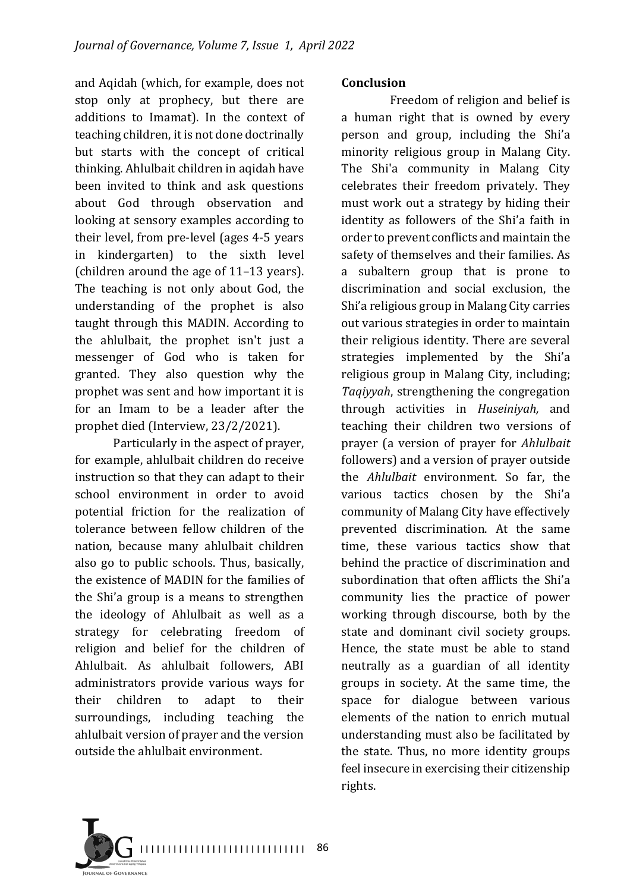and Aqidah (which, for example, does not stop only at prophecy, but there are additions to Imamat). In the context of teaching children, it is not done doctrinally but starts with the concept of critical thinking. Ahlulbait children in aqidah have been invited to think and ask questions about God through observation and looking at sensory examples according to their level, from pre-level (ages  $4-5$  years in kindergarten) to the sixth level (children around the age of  $11-13$  years). The teaching is not only about God, the understanding of the prophet is also taught through this MADIN. According to the ahlulbait, the prophet isn't just a messenger of God who is taken for granted. They also question why the prophet was sent and how important it is for an Imam to be a leader after the prophet died (Interview, 23/2/2021).

Particularly in the aspect of prayer, for example, ahlulbait children do receive instruction so that they can adapt to their school environment in order to avoid potential friction for the realization of tolerance between fellow children of the nation, because many ahlulbait children also go to public schools. Thus, basically, the existence of MADIN for the families of the Shi'a group is a means to strengthen the ideology of Ahlulbait as well as a strategy for celebrating freedom of religion and belief for the children of Ahlulbait. As ahlulbait followers, ABI administrators provide various ways for their children to adapt to their surroundings, including teaching the ahlulbait version of prayer and the version outside the ahlulbait environment.

#### **Conclusion**

Freedom of religion and belief is a human right that is owned by every person and group, including the Shi'a minority religious group in Malang City. The Shi'a community in Malang City celebrates their freedom privately. They must work out a strategy by hiding their identity as followers of the Shi'a faith in order to prevent conflicts and maintain the safety of themselves and their families. As a subaltern group that is prone to discrimination and social exclusion, the Shi'a religious group in Malang City carries out various strategies in order to maintain their religious identity. There are several strategies implemented by the Shi'a religious group in Malang City, including; *Taqiyyah*, strengthening the congregation through activities in *Huseiniyah,*  and teaching their children two versions of prayer (a version of prayer for *Ahlulbait* followers) and a version of prayer outside the *Ahlulbait* environment. So far, the various tactics chosen by the Shi'a community of Malang City have effectively prevented discrimination. At the same time, these various tactics show that behind the practice of discrimination and subordination that often afflicts the Shi'a community lies the practice of power working through discourse, both by the state and dominant civil society groups. Hence, the state must be able to stand neutrally as a guardian of all identity groups in society. At the same time, the space for dialogue between various elements of the nation to enrich mutual understanding must also be facilitated by the state. Thus, no more identity groups feel insecure in exercising their citizenship rights.

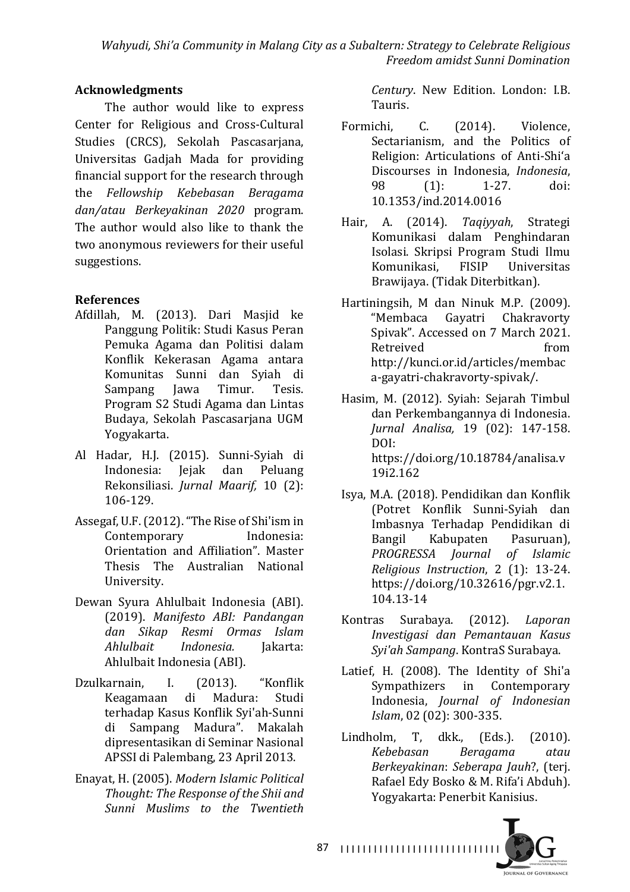### **Acknowledgments**

The author would like to express Center for Religious and Cross-Cultural Studies (CRCS), Sekolah Pascasarjana, Universitas Gadjah Mada for providing financial support for the research through the *Fellowship Kebebasan Beragama dan/atau Berkeyakinan 2020*  program. The author would also like to thank the two anonymous reviewers for their useful suggestions.

### **References**

- Afdillah, M. (2013). Dari Masjid ke Panggung Politik: Studi Kasus Peran Pemuka Agama dan Politisi dalam Konflik Kekerasan Agama antara Komunitas Sunni dan Syiah di Sampang Jawa Timur. Tesis. Program S2 Studi Agama dan Lintas Budaya, Sekolah Pascasarjana UGM Yogyakarta.
- Al Hadar, H.J. (2015). Sunni-Syiah di Indonesia: Jejak dan Peluang Rekonsiliasi. *Jurnal Maarif*, 10 (2): 106-129.
- Assegaf, U.F. (2012). "The Rise of Shi'ism in Contemporary Indonesia: Orientation and Affiliation". Master Thesis The Australian National University.
- Dewan Syura Ahlulbait Indonesia (ABI). (2019). *Manifesto ABI: Pandangan dan Sikap Resmi Ormas Islam Ahlulbait Indonesia.* Jakarta: Ahlulbait Indonesia (ABI).
- Dzulkarnain, I. (2013). "Konflik Keagamaan di Madura: Studi terhadap Kasus Konflik Syi'ah-Sunni di Sampang Madura". Makalah dipresentasikan di Seminar Nasional APSSI di Palembang, 23 April 2013.
- Enayat, H. (2005). *Modern Islamic Political*  Thought: The Response of the Shii and *Sunni Muslims* to the *Twentieth*

*Century*. New Edition. London: I.B. Tauris.

- Formichi, C. (2014). Violence, Sectarianism, and the Politics of Religion: Articulations of Anti-Shi'a Discourses in Indonesia, *Indonesia*, 98 (1): 1-27. doi: 10.1353/ind.2014.0016
- Hair, A. (2014). *Taqiyyah*, Strategi Komunikasi dalam Penghindaran Isolasi. Skripsi Program Studi Ilmu Komunikasi, FISIP Universitas Brawijaya. (Tidak Diterbitkan).
- Hartiningsih, M dan Ninuk M.P. (2009). "Membaca Gayatri Chakravorty Spivak". Accessed on 7 March 2021. Retreived from http://kunci.or.id/articles/membac a-gayatri-chakravorty-spivak/.
- Hasim, M. (2012). Syiah: Sejarah Timbul dan Perkembangannya di Indonesia. *Jurnal Analisa,* 19 (02): 147-158. DOI: https://doi.org/10.18784/analisa.v 19i2.162
- Isya, M.A. (2018). Pendidikan dan Konflik (Potret Konflik Sunni-Syiah dan Imbasnya Terhadap Pendidikan di Bangil Kabupaten Pasuruan), *PROGRESSA Journal of Islamic Religious Instruction*, 2 (1): 13-24. https://doi.org/10.32616/pgr.v2.1. 104.13-14
- Kontras Surabaya. (2012). *Laporan Investigasi dan Pemantauan Kasus Syi'ah Sampang*. KontraS Surabaya.
- Latief, H. (2008). The Identity of Shi'a Sympathizers in Contemporary Indonesia, *Journal of Indonesian Islam*, 02 (02): 300-335.
- Lindholm, T, dkk., (Eds.). (2010). *Kebebasan Beragama atau Berkeyakinan*: *Seberapa Jauh*?, (terj. Rafael Edy Bosko & M. Rifa'i Abduh). Yogyakarta: Penerbit Kanisius.

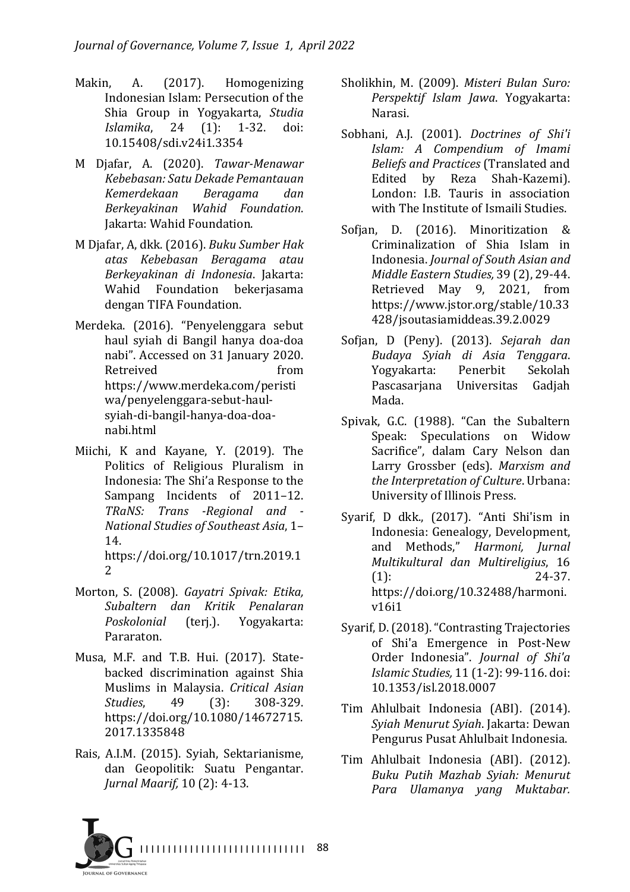- Makin, A. (2017). Homogenizing Indonesian Islam: Persecution of the Shia Group in Yogyakarta, *Studig Islamika*, 24 (1): 1-32. doi: 10.15408/sdi.v24i1.3354
- M Djafar, A. (2020). *Tawar-Menawar Kebebasan: Satu Dekade Pemantauan Kemerdekaan Beragama dan Berkeyakinan Wahid Foundation*. Jakarta: Wahid Foundation.
- M Djafar, A, dkk. (2016). *Buku Sumber Hak atas Kebebasan Beragama atau Berkeyakinan di Indonesia*. Jakarta: Wahid Foundation bekerjasama dengan TIFA Foundation.
- Merdeka. (2016). "Penyelenggara sebut haul syiah di Bangil hanya doa-doa nabi". Accessed on 31 January 2020. Retreived from https://www.merdeka.com/peristi wa/penyelenggara-sebut-haulsyiah-di-bangil-hanya-doa-doanabi.html
- Miichi, K and Kayane, Y. (2019). The Politics of Religious Pluralism in Indonesia: The Shi'a Response to the Sampang Incidents of 2011-12. *TRaNS: Trans -Regional and - National Studies of Southeast Asia*, 1– 14.

https://doi.org/10.1017/trn.2019.1 2

- Morton, S. (2008). *Gayatri Spivak: Etika, Subaltern dan Kritik Penalaran Poskolonial* (terj.). Yogyakarta: Pararaton.
- Musa, M.F. and T.B. Hui. (2017). Statebacked discrimination against Shia Muslims in Malaysia. *Critical Asian Studies*, 49 (3): 308-329. https://doi.org/10.1080/14672715. 2017.1335848
- Rais, A.I.M. (2015). Syiah, Sektarianisme, dan Geopolitik: Suatu Pengantar. *Jurnal Maarif,* 10 (2): 4-13.
- Sholikhin, M. (2009). *Misteri Bulan Suro: Perspektif Islam Jawa*. Yogyakarta: Narasi.
- Sobhani, A.J. (2001). *Doctrines of Shi'i Islam: A Compendium of Imami Beliefs and Practices* (Translated and Edited by Reza Shah-Kazemi). London: LB. Tauris in association with The Institute of Ismaili Studies.
- Sofjan, D. (2016). Minoritization & Criminalization of Shia Islam in Indonesia. *Journal of South Asian and Middle Eastern Studies,* 39 (2), 29-44. Retrieved May 9, 2021, from https://www.jstor.org/stable/10.33 428/jsoutasiamiddeas.39.2.0029
- Sofjan, D (Peny). (2013). Sejarah dan *Budaya Syiah di Asia Tenggara*. Yogyakarta: Penerbit Sekolah Pascasariana Universitas Gadiah Mada.
- Spivak, G.C. (1988). "Can the Subaltern Speak: Speculations on Widow Sacrifice", dalam Cary Nelson dan Larry Grossber (eds). *Marxism and* the Interpretation of Culture. Urbana: University of Illinois Press.
- Syarif, D dkk., (2017). "Anti Shi'ism in Indonesia: Genealogy, Development, and Methods," *Harmoni*, *Jurnal Multikultural dan Multireligius*, 16  $(1):$  24-37. https://doi.org/10.32488/harmoni. v16i1
- Syarif, D. (2018). "Contrasting Trajectories of Shi'a Emergence in Post-New Order Indonesia". *Journal of Shi'a Islamic Studies,* 11 (1-2): 99-116. doi: 10.1353/isl.2018.0007
- Tim Ahlulbait Indonesia (ABI). (2014). *Syiah Menurut Syiah*. Jakarta: Dewan Pengurus Pusat Ahlulbait Indonesia.
- Tim Ahlulbait Indonesia (ABI). (2012). *Buku Putih Mazhab Syiah: Menurut Para Ulamanya yang Muktabar.*